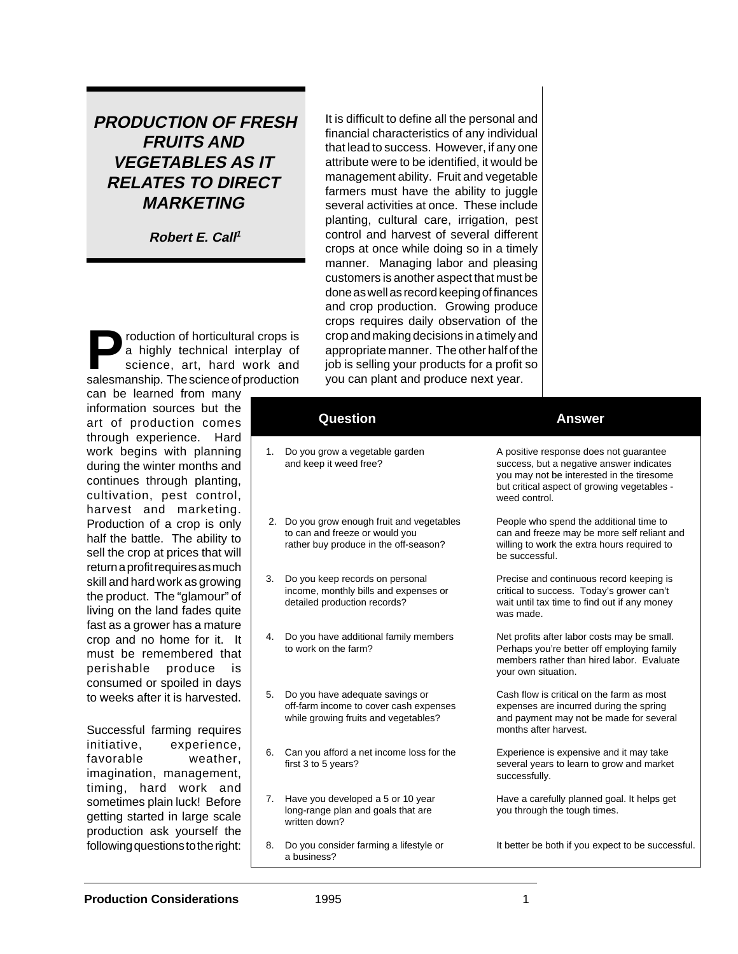**PRODUCTION OF FRESH FRUITS AND VEGETABLES AS IT RELATES TO DIRECT MARKETING**

**Robert E. Call<sup>1</sup>**

**Production of horticultural crops is<br>a highly technical interplay of<br>science, art, hard work and<br>salesmanship. The science of production** a highly technical interplay of science, art, hard work and salesmanship. The science of production can be learned from many

information sources but art of production con through experience. H work begins with planr during the winter months continues through planti cultivation, pest cont harvest and marketi Production of a crop is on half the battle. The ability sell the crop at prices that return a profit requires as m skill and hard work as grow the product. The "glamour living on the land fades q fast as a grower has a mat crop and no home for it. must be remembered perishable produce consumed or spoiled in day to weeks after it is harvest

Successful farming requ initiative, experien favorable weath imagination, managem timing, hard work sometimes plain luck! Bef getting started in large so production ask yourself following questions to the ri

It is difficult to define all the personal and financial characteristics of any individual that lead to success. However, if any one attribute were to be identified, it would be management ability. Fruit and vegetable farmers must have the ability to juggle several activities at once. These include planting, cultural care, irrigation, pest control and harvest of several different crops at once while doing so in a timely manner. Managing labor and pleasing customers is another aspect that must be done as well as record keeping of finances and crop production. Growing produce crops requires daily observation of the crop and making decisions in a timely and appropriate manner. The other half of the job is selling your products for a profit so you can plant and produce next year.

| the<br>nes<br>lard                  |    | <b>Question</b>                                                                                                       | <b>Answer</b>                                                                                                                                                                                   |
|-------------------------------------|----|-----------------------------------------------------------------------------------------------------------------------|-------------------------------------------------------------------------------------------------------------------------------------------------------------------------------------------------|
| hing<br>and<br>ing,<br>rol,<br>ing. | 1. | Do you grow a vegetable garden<br>and keep it weed free?                                                              | A positive response does not guarantee<br>success, but a negative answer indicates<br>you may not be interested in the tiresome<br>but critical aspect of growing vegetables -<br>weed control. |
| only<br>y to<br>∶ will<br>ıuch      |    | 2. Do you grow enough fruit and vegetables<br>to can and freeze or would you<br>rather buy produce in the off-season? | People who spend the additional time to<br>can and freeze may be more self reliant and<br>willing to work the extra hours required to<br>be successful.                                         |
| ving<br>r" of<br>uite<br>ture       | 3. | Do you keep records on personal<br>income, monthly bills and expenses or<br>detailed production records?              | Precise and continuous record keeping is<br>critical to success. Today's grower can't<br>wait until tax time to find out if any money<br>was made.                                              |
| It<br>that<br>is<br>lays            | 4. | Do you have additional family members<br>to work on the farm?                                                         | Net profits after labor costs may be small.<br>Perhaps you're better off employing family<br>members rather than hired labor. Evaluate<br>your own situation.                                   |
| ted.<br>ires                        | 5. | Do you have adequate savings or<br>off-farm income to cover cash expenses<br>while growing fruits and vegetables?     | Cash flow is critical on the farm as most<br>expenses are incurred during the spring<br>and payment may not be made for several<br>months after harvest.                                        |
| ice,<br>۱er.<br>ent.<br>and         | 6. | Can you afford a net income loss for the<br>first 3 to 5 years?                                                       | Experience is expensive and it may take<br>several years to learn to grow and market<br>successfully.                                                                                           |
| fore<br>cale<br>the                 | 7. | Have you developed a 5 or 10 year<br>long-range plan and goals that are<br>written down?                              | Have a carefully planned goal. It helps get<br>you through the tough times.                                                                                                                     |
| ight:                               | 8. | Do you consider farming a lifestyle or<br>a husiness?                                                                 | It better be both if you expect to be successful.                                                                                                                                               |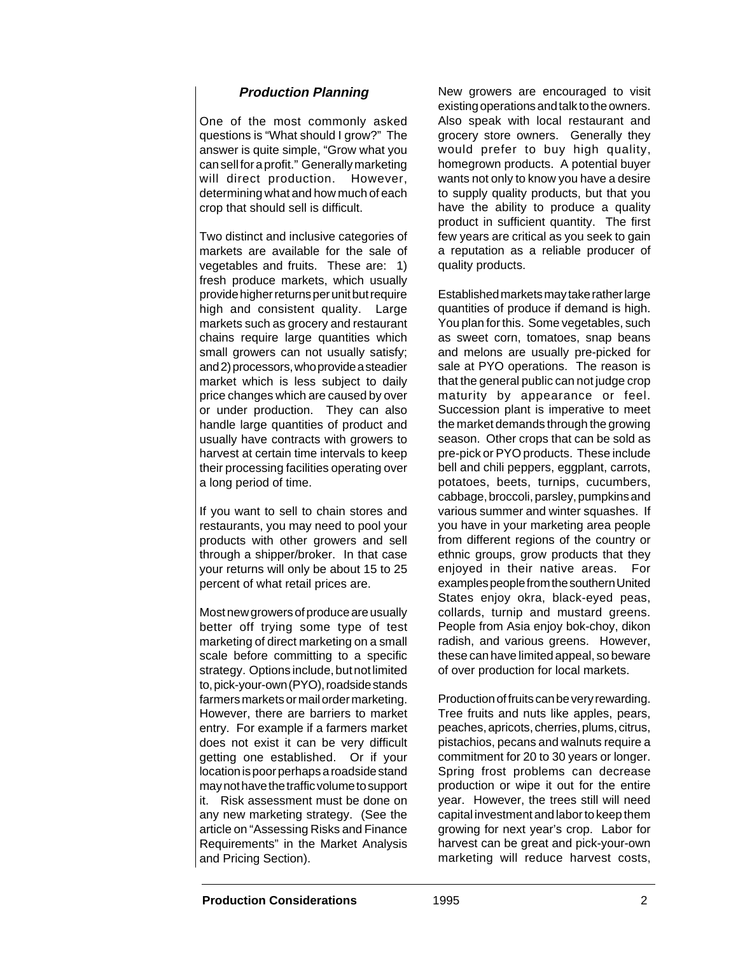## **Production Planning**

One of the most commonly asked questions is "What should I grow?" The answer is quite simple, "Grow what you can sell for a profit." Generally marketing will direct production. However, determining what and how much of each crop that should sell is difficult.

Two distinct and inclusive categories of markets are available for the sale of vegetables and fruits. These are: 1) fresh produce markets, which usually provide higher returns per unit but require high and consistent quality. Large markets such as grocery and restaurant chains require large quantities which small growers can not usually satisfy; and 2) processors, who provide a steadier market which is less subject to daily price changes which are caused by over or under production. They can also handle large quantities of product and usually have contracts with growers to harvest at certain time intervals to keep their processing facilities operating over a long period of time.

If you want to sell to chain stores and restaurants, you may need to pool your products with other growers and sell through a shipper/broker. In that case your returns will only be about 15 to 25 percent of what retail prices are.

Most new growers of produce are usually better off trying some type of test marketing of direct marketing on a small scale before committing to a specific strategy. Options include, but not limited to, pick-your-own (PYO), roadside stands farmers markets or mail order marketing. However, there are barriers to market entry. For example if a farmers market does not exist it can be very difficult getting one established. Or if your location is poor perhaps a roadside stand may not have the traffic volume to support it. Risk assessment must be done on any new marketing strategy. (See the article on "Assessing Risks and Finance Requirements" in the Market Analysis and Pricing Section).

New growers are encouraged to visit existing operations and talk to the owners. Also speak with local restaurant and grocery store owners. Generally they would prefer to buy high quality, homegrown products. A potential buyer wants not only to know you have a desire to supply quality products, but that you have the ability to produce a quality product in sufficient quantity. The first few years are critical as you seek to gain a reputation as a reliable producer of quality products.

Established markets may take rather large quantities of produce if demand is high. You plan for this. Some vegetables, such as sweet corn, tomatoes, snap beans and melons are usually pre-picked for sale at PYO operations. The reason is that the general public can not judge crop maturity by appearance or feel. Succession plant is imperative to meet the market demands through the growing season. Other crops that can be sold as pre-pick or PYO products. These include bell and chili peppers, eggplant, carrots, potatoes, beets, turnips, cucumbers, cabbage, broccoli, parsley, pumpkins and various summer and winter squashes. If you have in your marketing area people from different regions of the country or ethnic groups, grow products that they enjoyed in their native areas. For examples people from the southern United States enjoy okra, black-eyed peas, collards, turnip and mustard greens. People from Asia enjoy bok-choy, dikon radish, and various greens. However, these can have limited appeal, so beware of over production for local markets.

Production of fruits can be very rewarding. Tree fruits and nuts like apples, pears, peaches, apricots, cherries, plums, citrus, pistachios, pecans and walnuts require a commitment for 20 to 30 years or longer. Spring frost problems can decrease production or wipe it out for the entire year. However, the trees still will need capital investment and labor to keep them growing for next year's crop. Labor for harvest can be great and pick-your-own marketing will reduce harvest costs,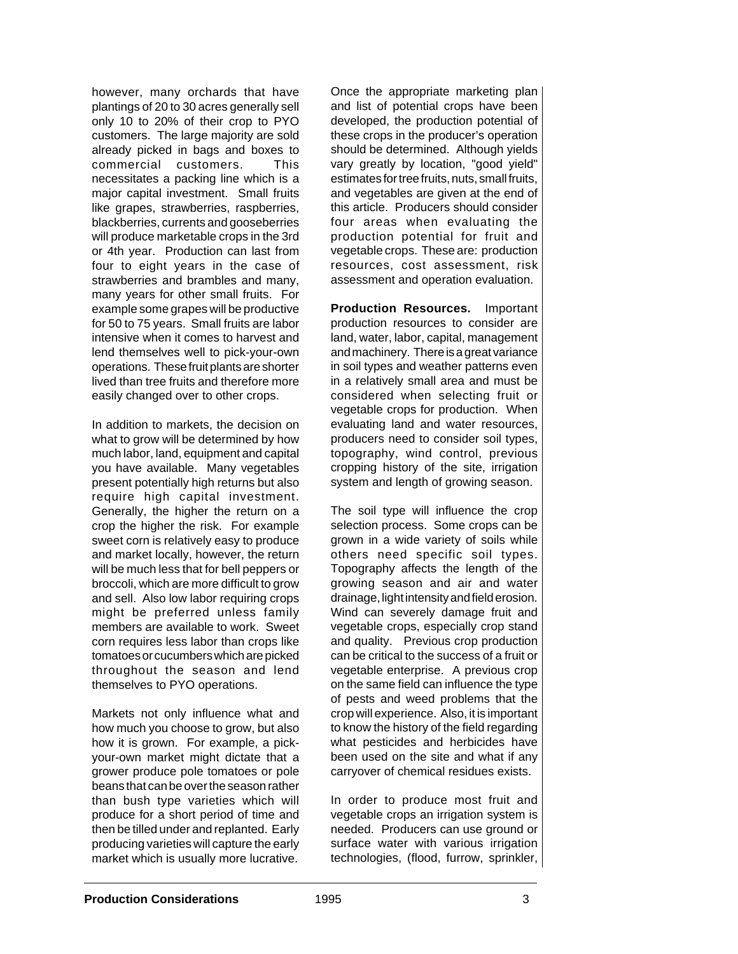however, many orchards that have plantings of 20 to 30 acres generally sell only 10 to 20% of their crop to PYO customers. The large majority are sold already picked in bags and boxes to commercial customers. This necessitates a packing line which is a major capital investment. Small fruits like grapes, strawberries, raspberries, blackberries, currents and gooseberries will produce marketable crops in the 3rd or 4th year. Production can last from four to eight years in the case of strawberries and brambles and many, many years for other small fruits. For example some grapes will be productive for 50 to 75 years. Small fruits are labor intensive when it comes to harvest and lend themselves well to pick-your-own operations. These fruit plants are shorter lived than tree fruits and therefore more easily changed over to other crops.

In addition to markets, the decision on what to grow will be determined by how much labor, land, equipment and capital you have available. Many vegetables present potentially high returns but also require high capital investment. Generally, the higher the return on a crop the higher the risk. For example sweet corn is relatively easy to produce and market locally, however, the return will be much less that for bell peppers or broccoli, which are more difficult to grow and sell. Also low labor requiring crops might be preferred unless family members are available to work. Sweet corn requires less labor than crops like tomatoes or cucumbers which are picked throughout the season and lend themselves to PYO operations.

Markets not only influence what and how much you choose to grow, but also how it is grown. For example, a pickyour-own market might dictate that a grower produce pole tomatoes or pole beans that can be over the season rather than bush type varieties which will produce for a short period of time and then be tilled under and replanted. Early producing varieties will capture the early market which is usually more lucrative.

Once the appropriate marketing plan and list of potential crops have been developed, the production potential of these crops in the producer's operation should be determined. Although yields vary greatly by location, "good yield" estimates for tree fruits, nuts, small fruits, and vegetables are given at the end of this article. Producers should consider four areas when evaluating the production potential for fruit and vegetable crops. These are: production resources, cost assessment, risk assessment and operation evaluation.

**Production Resources.** Important production resources to consider are land, water, labor, capital, management and machinery. There is a great variance in soil types and weather patterns even in a relatively small area and must be considered when selecting fruit or vegetable crops for production. When evaluating land and water resources, producers need to consider soil types, topography, wind control, previous cropping history of the site, irrigation system and length of growing season.

The soil type will influence the crop selection process. Some crops can be grown in a wide variety of soils while others need specific soil types. Topography affects the length of the growing season and air and water drainage, light intensity and field erosion. Wind can severely damage fruit and vegetable crops, especially crop stand and quality. Previous crop production can be critical to the success of a fruit or vegetable enterprise. A previous crop on the same field can influence the type of pests and weed problems that the crop will experience. Also, it is important to know the history of the field regarding what pesticides and herbicides have been used on the site and what if any carryover of chemical residues exists.

In order to produce most fruit and vegetable crops an irrigation system is needed. Producers can use ground or surface water with various irrigation technologies, (flood, furrow, sprinkler,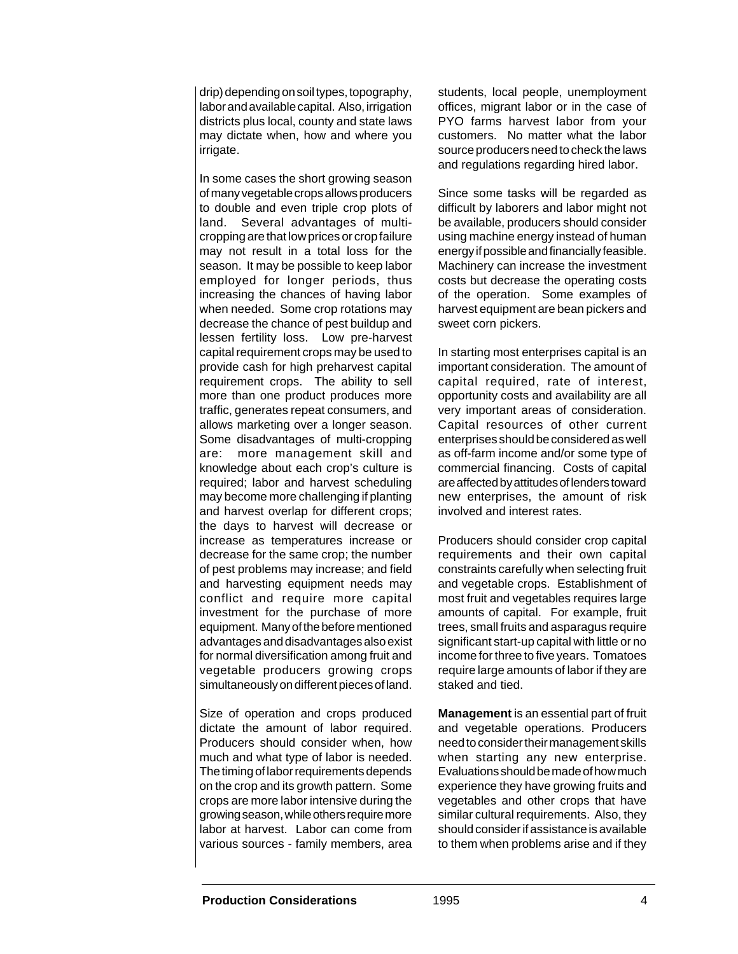drip) depending on soil types, topography, labor and available capital. Also, irrigation districts plus local, county and state laws may dictate when, how and where you irrigate.

In some cases the short growing season of many vegetable crops allows producers to double and even triple crop plots of land. Several advantages of multicropping are that low prices or crop failure may not result in a total loss for the season. It may be possible to keep labor employed for longer periods, thus increasing the chances of having labor when needed. Some crop rotations may decrease the chance of pest buildup and lessen fertility loss. Low pre-harvest capital requirement crops may be used to provide cash for high preharvest capital requirement crops. The ability to sell more than one product produces more traffic, generates repeat consumers, and allows marketing over a longer season. Some disadvantages of multi-cropping are: more management skill and knowledge about each crop's culture is required; labor and harvest scheduling may become more challenging if planting and harvest overlap for different crops; the days to harvest will decrease or increase as temperatures increase or decrease for the same crop; the number of pest problems may increase; and field and harvesting equipment needs may conflict and require more capital investment for the purchase of more equipment. Many of the before mentioned advantages and disadvantages also exist for normal diversification among fruit and vegetable producers growing crops simultaneously on different pieces of land.

Size of operation and crops produced dictate the amount of labor required. Producers should consider when, how much and what type of labor is needed. The timing of labor requirements depends on the crop and its growth pattern. Some crops are more labor intensive during the growing season, while others require more labor at harvest. Labor can come from various sources - family members, area

students, local people, unemployment offices, migrant labor or in the case of PYO farms harvest labor from your customers. No matter what the labor source producers need to check the laws and regulations regarding hired labor.

Since some tasks will be regarded as difficult by laborers and labor might not be available, producers should consider using machine energy instead of human energy if possible and financially feasible. Machinery can increase the investment costs but decrease the operating costs of the operation. Some examples of harvest equipment are bean pickers and sweet corn pickers.

In starting most enterprises capital is an important consideration. The amount of capital required, rate of interest, opportunity costs and availability are all very important areas of consideration. Capital resources of other current enterprises should be considered as well as off-farm income and/or some type of commercial financing. Costs of capital are affected by attitudes of lenders toward new enterprises, the amount of risk involved and interest rates.

Producers should consider crop capital requirements and their own capital constraints carefully when selecting fruit and vegetable crops. Establishment of most fruit and vegetables requires large amounts of capital. For example, fruit trees, small fruits and asparagus require significant start-up capital with little or no income for three to five years. Tomatoes require large amounts of labor if they are staked and tied.

**Management** is an essential part of fruit and vegetable operations. Producers need to consider their management skills when starting any new enterprise. Evaluations should be made of how much experience they have growing fruits and vegetables and other crops that have similar cultural requirements. Also, they should consider if assistance is available to them when problems arise and if they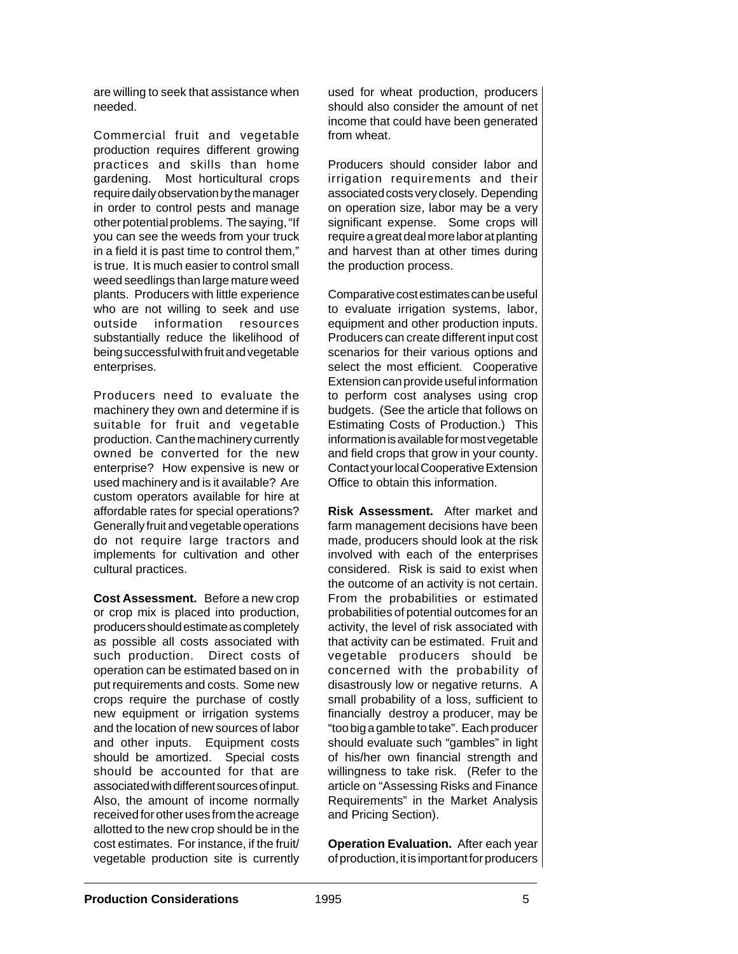are willing to seek that assistance when needed.

Commercial fruit and vegetable production requires different growing practices and skills than home gardening. Most horticultural crops require daily observation by the manager in order to control pests and manage other potential problems. The saying, "If you can see the weeds from your truck in a field it is past time to control them," is true. It is much easier to control small weed seedlings than large mature weed plants. Producers with little experience who are not willing to seek and use outside information resources substantially reduce the likelihood of being successful with fruit and vegetable enterprises.

Producers need to evaluate the machinery they own and determine if is suitable for fruit and vegetable production. Can the machinery currently owned be converted for the new enterprise? How expensive is new or used machinery and is it available? Are custom operators available for hire at affordable rates for special operations? Generally fruit and vegetable operations do not require large tractors and implements for cultivation and other cultural practices.

**Cost Assessment.** Before a new crop or crop mix is placed into production, producers should estimate as completely as possible all costs associated with such production. Direct costs of operation can be estimated based on in put requirements and costs. Some new crops require the purchase of costly new equipment or irrigation systems and the location of new sources of labor and other inputs. Equipment costs should be amortized. Special costs should be accounted for that are associated with different sources of input. Also, the amount of income normally received for other uses from the acreage allotted to the new crop should be in the cost estimates. For instance, if the fruit/ vegetable production site is currently

used for wheat production, producers should also consider the amount of net income that could have been generated from wheat.

Producers should consider labor and irrigation requirements and their associated costs very closely. Depending on operation size, labor may be a very significant expense. Some crops will require a great deal more labor at planting and harvest than at other times during the production process.

Comparative cost estimates can be useful to evaluate irrigation systems, labor, equipment and other production inputs. Producers can create different input cost scenarios for their various options and select the most efficient. Cooperative Extension can provide useful information to perform cost analyses using crop budgets. (See the article that follows on Estimating Costs of Production.) This information is available for most vegetable and field crops that grow in your county. Contact your local Cooperative Extension Office to obtain this information.

**Risk Assessment.** After market and farm management decisions have been made, producers should look at the risk involved with each of the enterprises considered. Risk is said to exist when the outcome of an activity is not certain. From the probabilities or estimated probabilities of potential outcomes for an activity, the level of risk associated with that activity can be estimated. Fruit and vegetable producers should be concerned with the probability of disastrously low or negative returns. A small probability of a loss, sufficient to financially destroy a producer, may be "too big a gamble to take". Each producer should evaluate such "gambles" in light of his/her own financial strength and willingness to take risk. (Refer to the article on "Assessing Risks and Finance Requirements" in the Market Analysis and Pricing Section).

**Operation Evaluation.** After each year of production, it is important for producers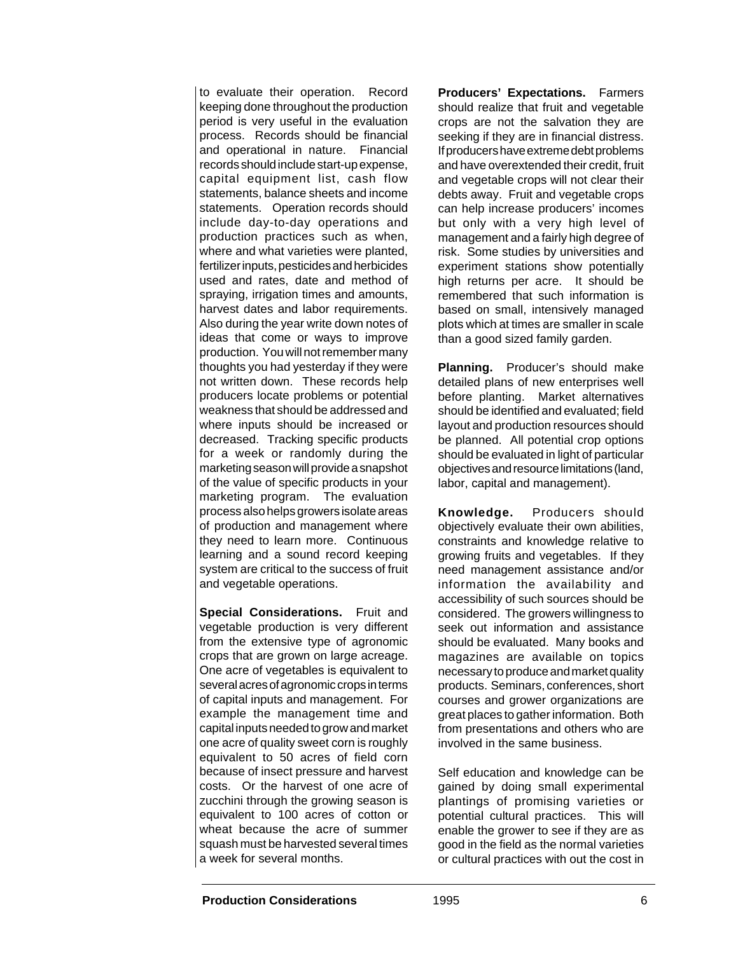to evaluate their operation. Record keeping done throughout the production period is very useful in the evaluation process. Records should be financial and operational in nature. Financial records should include start-up expense, capital equipment list, cash flow statements, balance sheets and income statements. Operation records should include day-to-day operations and production practices such as when, where and what varieties were planted, fertilizer inputs, pesticides and herbicides used and rates, date and method of spraying, irrigation times and amounts, harvest dates and labor requirements. Also during the year write down notes of ideas that come or ways to improve production. You will not remember many thoughts you had yesterday if they were not written down. These records help producers locate problems or potential weakness that should be addressed and where inputs should be increased or decreased. Tracking specific products for a week or randomly during the marketing season will provide a snapshot of the value of specific products in your marketing program. The evaluation process also helps growers isolate areas of production and management where they need to learn more. Continuous learning and a sound record keeping system are critical to the success of fruit and vegetable operations.

**Special Considerations.** Fruit and vegetable production is very different from the extensive type of agronomic crops that are grown on large acreage. One acre of vegetables is equivalent to several acres of agronomic crops in terms of capital inputs and management. For example the management time and capital inputs needed to grow and market one acre of quality sweet corn is roughly equivalent to 50 acres of field corn because of insect pressure and harvest costs. Or the harvest of one acre of zucchini through the growing season is equivalent to 100 acres of cotton or wheat because the acre of summer squash must be harvested several times a week for several months.

**Producers' Expectations.** Farmers should realize that fruit and vegetable crops are not the salvation they are seeking if they are in financial distress. If producers have extreme debt problems and have overextended their credit, fruit and vegetable crops will not clear their debts away. Fruit and vegetable crops can help increase producers' incomes but only with a very high level of management and a fairly high degree of risk. Some studies by universities and experiment stations show potentially high returns per acre. It should be remembered that such information is based on small, intensively managed plots which at times are smaller in scale than a good sized family garden.

**Planning.** Producer's should make detailed plans of new enterprises well before planting. Market alternatives should be identified and evaluated; field layout and production resources should be planned. All potential crop options should be evaluated in light of particular objectives and resource limitations (land, labor, capital and management).

**Knowledge.** Producers should objectively evaluate their own abilities, constraints and knowledge relative to growing fruits and vegetables. If they need management assistance and/or information the availability and accessibility of such sources should be considered. The growers willingness to seek out information and assistance should be evaluated. Many books and magazines are available on topics necessary to produce and market quality products. Seminars, conferences, short courses and grower organizations are great places to gather information. Both from presentations and others who are involved in the same business.

Self education and knowledge can be gained by doing small experimental plantings of promising varieties or potential cultural practices. This will enable the grower to see if they are as good in the field as the normal varieties or cultural practices with out the cost in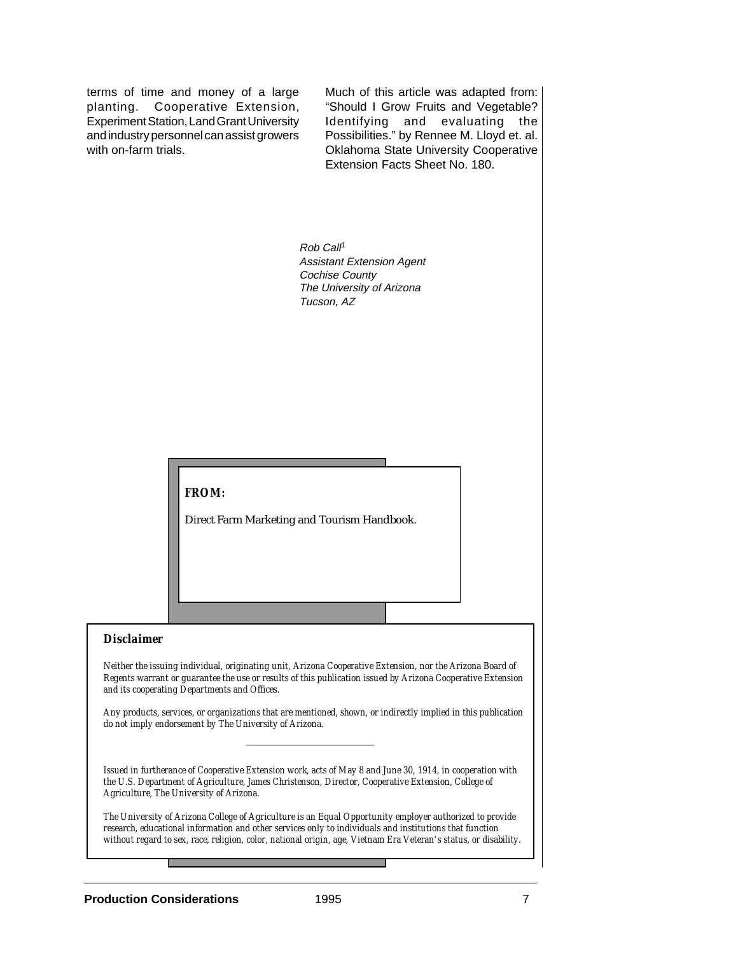terms of time and money of a large planting. Cooperative Extension, Experiment Station, Land Grant University and industry personnel can assist growers with on-farm trials.

Much of this article was adapted from: "Should I Grow Fruits and Vegetable? Identifying and evaluating the Possibilities." by Rennee M. Lloyd et. al. Oklahoma State University Cooperative Extension Facts Sheet No. 180.

Rob Call<sup>1</sup> Assistant Extension Agent Cochise County The University of Arizona Tucson, AZ

## *FROM:*

Direct Farm Marketing and Tourism Handbook.

## *Disclaimer*

*Neither the issuing individual, originating unit, Arizona Cooperative Extension, nor the Arizona Board of Regents warrant or guarantee the use or results of this publication issued by Arizona Cooperative Extension and its cooperating Departments and Offices.*

*Any products, services, or organizations that are mentioned, shown, or indirectly implied in this publication do not imply endorsement by The University of Arizona.*

*Issued in furtherance of Cooperative Extension work, acts of May 8 and June 30, 1914, in cooperation with the U.S. Department of Agriculture, James Christenson, Director, Cooperative Extension, College of Agriculture, The University of Arizona.*

*The University of Arizona College of Agriculture is an Equal Opportunity employer authorized to provide research, educational information and other services only to individuals and institutions that function without regard to sex, race, religion, color, national origin, age, Vietnam Era Veteran's status, or disability.*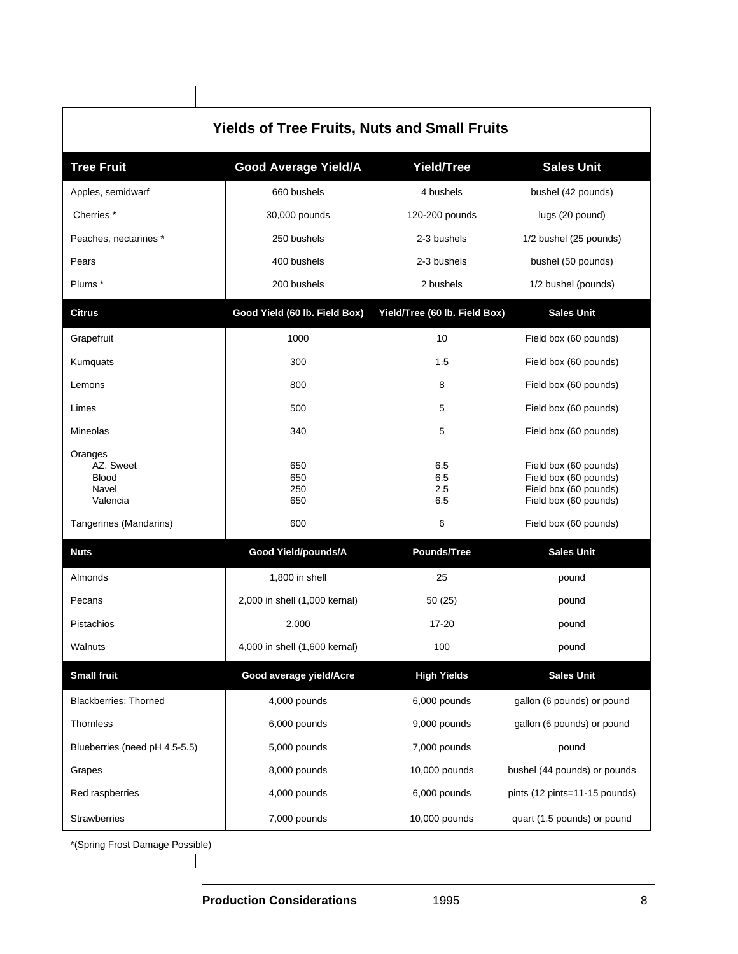| <b>Yields of Tree Fruits, Nuts and Small Fruits</b>                                 |                                 |                               |                                                                                                                           |  |  |  |  |  |
|-------------------------------------------------------------------------------------|---------------------------------|-------------------------------|---------------------------------------------------------------------------------------------------------------------------|--|--|--|--|--|
| <b>Tree Fruit</b>                                                                   | <b>Good Average Yield/A</b>     | Yield/Tree                    | <b>Sales Unit</b>                                                                                                         |  |  |  |  |  |
| Apples, semidwarf                                                                   | 660 bushels                     | 4 bushels                     | bushel (42 pounds)                                                                                                        |  |  |  |  |  |
| Cherries <sup>*</sup>                                                               | 30,000 pounds                   | 120-200 pounds                | lugs (20 pound)                                                                                                           |  |  |  |  |  |
| Peaches, nectarines *                                                               | 250 bushels                     | 2-3 bushels                   | 1/2 bushel (25 pounds)                                                                                                    |  |  |  |  |  |
| Pears                                                                               | 400 bushels                     | 2-3 bushels                   | bushel (50 pounds)                                                                                                        |  |  |  |  |  |
| Plums *                                                                             | 200 bushels                     | 2 bushels                     | 1/2 bushel (pounds)                                                                                                       |  |  |  |  |  |
| <b>Citrus</b>                                                                       | Good Yield (60 lb. Field Box)   | Yield/Tree (60 lb. Field Box) | <b>Sales Unit</b>                                                                                                         |  |  |  |  |  |
| Grapefruit                                                                          | 1000                            | 10                            | Field box (60 pounds)                                                                                                     |  |  |  |  |  |
| Kumquats                                                                            | 300                             | 1.5                           | Field box (60 pounds)                                                                                                     |  |  |  |  |  |
| Lemons                                                                              | 800                             | 8                             | Field box (60 pounds)                                                                                                     |  |  |  |  |  |
| Limes                                                                               | 500                             | 5                             | Field box (60 pounds)                                                                                                     |  |  |  |  |  |
| Mineolas                                                                            | 340                             | 5                             | Field box (60 pounds)                                                                                                     |  |  |  |  |  |
| Oranges<br>AZ. Sweet<br><b>Blood</b><br>Navel<br>Valencia<br>Tangerines (Mandarins) | 650<br>650<br>250<br>650<br>600 | 6.5<br>6.5<br>2.5<br>6.5<br>6 | Field box (60 pounds)<br>Field box (60 pounds)<br>Field box (60 pounds)<br>Field box (60 pounds)<br>Field box (60 pounds) |  |  |  |  |  |
| <b>Nuts</b>                                                                         | <b>Good Yield/pounds/A</b>      | <b>Pounds/Tree</b>            | <b>Sales Unit</b>                                                                                                         |  |  |  |  |  |
| Almonds                                                                             | 1,800 in shell                  | 25                            | pound                                                                                                                     |  |  |  |  |  |
| Pecans                                                                              | 2,000 in shell (1,000 kernal)   | 50(25)                        | pound                                                                                                                     |  |  |  |  |  |
| Pistachios                                                                          | 2,000                           | 17-20                         | pound                                                                                                                     |  |  |  |  |  |
| Walnuts                                                                             | 4,000 in shell (1,600 kernal)   | 100                           | pound                                                                                                                     |  |  |  |  |  |
| <b>Small fruit</b>                                                                  | Good average yield/Acre         | <b>High Yields</b>            | <b>Sales Unit</b>                                                                                                         |  |  |  |  |  |
| <b>Blackberries: Thorned</b>                                                        | 4,000 pounds                    | 6,000 pounds                  | gallon (6 pounds) or pound                                                                                                |  |  |  |  |  |
| Thornless                                                                           | 6,000 pounds                    | 9,000 pounds                  | gallon (6 pounds) or pound                                                                                                |  |  |  |  |  |
| Blueberries (need pH 4.5-5.5)                                                       | 5,000 pounds                    | 7,000 pounds                  | pound                                                                                                                     |  |  |  |  |  |
| Grapes                                                                              | 8,000 pounds                    | 10,000 pounds                 | bushel (44 pounds) or pounds                                                                                              |  |  |  |  |  |
| Red raspberries                                                                     | 4,000 pounds                    | 6,000 pounds                  | pints (12 pints=11-15 pounds)                                                                                             |  |  |  |  |  |
| Strawberries                                                                        | 7,000 pounds                    | 10,000 pounds                 | quart (1.5 pounds) or pound                                                                                               |  |  |  |  |  |

\*(Spring Frost Damage Possible)

 $\overline{\phantom{a}}$ 

 $\overline{\phantom{a}}$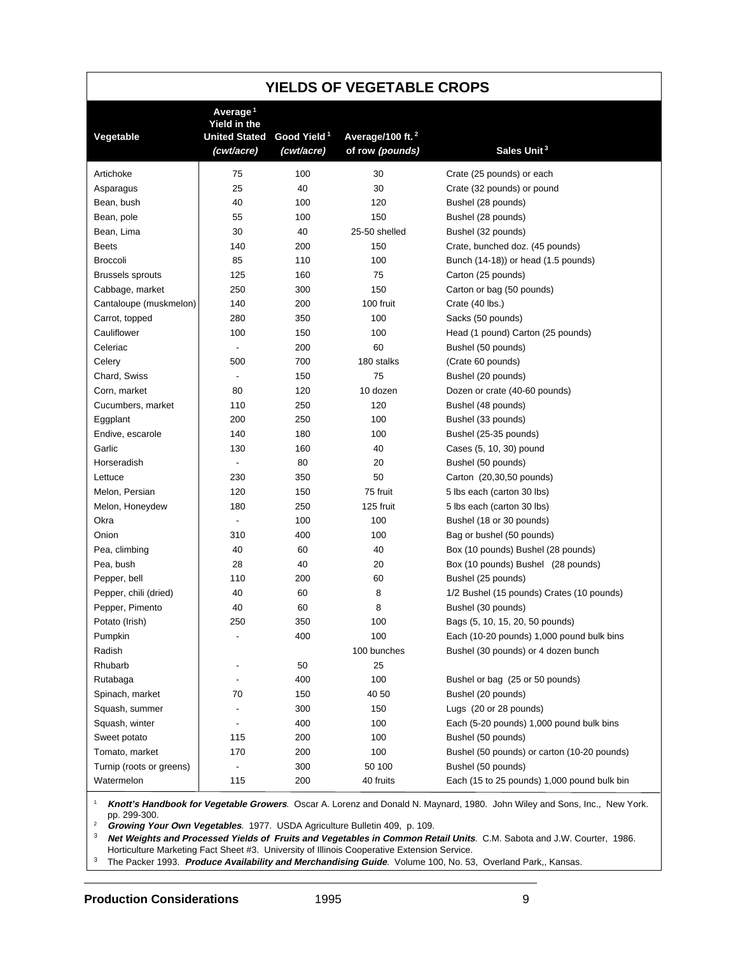| <b>YIELDS OF VEGETABLE CROPS</b> |                                                                            |                                       |                                                 |                                             |  |  |  |  |  |
|----------------------------------|----------------------------------------------------------------------------|---------------------------------------|-------------------------------------------------|---------------------------------------------|--|--|--|--|--|
| Vegetable                        | Average <sup>1</sup><br>Yield in the<br><b>United Stated</b><br>(cwt/acre) | Good Yield <sup>1</sup><br>(cwt/acre) | Average/100 ft. <sup>2</sup><br>of row (pounds) | Sales Unit <sup>3</sup>                     |  |  |  |  |  |
| Artichoke                        | 75                                                                         | 100                                   | 30                                              | Crate (25 pounds) or each                   |  |  |  |  |  |
| Asparagus                        | 25                                                                         | 40                                    | 30                                              | Crate (32 pounds) or pound                  |  |  |  |  |  |
| Bean, bush                       | 40                                                                         | 100                                   | 120                                             | Bushel (28 pounds)                          |  |  |  |  |  |
| Bean, pole                       | 55                                                                         | 100                                   | 150                                             | Bushel (28 pounds)                          |  |  |  |  |  |
| Bean, Lima                       | 30                                                                         | 40                                    | 25-50 shelled                                   | Bushel (32 pounds)                          |  |  |  |  |  |
| <b>Beets</b>                     | 140                                                                        | 200                                   | 150                                             | Crate, bunched doz. (45 pounds)             |  |  |  |  |  |
| <b>Broccoli</b>                  | 85                                                                         | 110                                   | 100                                             | Bunch (14-18)) or head (1.5 pounds)         |  |  |  |  |  |
| <b>Brussels sprouts</b>          | 125                                                                        | 160                                   | 75                                              | Carton (25 pounds)                          |  |  |  |  |  |
| Cabbage, market                  | 250                                                                        | 300                                   | 150                                             | Carton or bag (50 pounds)                   |  |  |  |  |  |
| Cantaloupe (muskmelon)           | 140                                                                        | 200                                   | 100 fruit                                       | Crate (40 lbs.)                             |  |  |  |  |  |
| Carrot, topped                   | 280                                                                        | 350                                   | 100                                             | Sacks (50 pounds)                           |  |  |  |  |  |
| Cauliflower                      | 100                                                                        | 150                                   | 100                                             | Head (1 pound) Carton (25 pounds)           |  |  |  |  |  |
| Celeriac                         | $\overline{\phantom{a}}$                                                   | 200                                   | 60                                              | Bushel (50 pounds)                          |  |  |  |  |  |
| Celery                           | 500                                                                        | 700                                   | 180 stalks                                      | (Crate 60 pounds)                           |  |  |  |  |  |
| Chard, Swiss                     |                                                                            | 150                                   | 75                                              | Bushel (20 pounds)                          |  |  |  |  |  |
| Corn, market                     | 80                                                                         | 120                                   | 10 dozen                                        | Dozen or crate (40-60 pounds)               |  |  |  |  |  |
| Cucumbers, market                | 110                                                                        | 250                                   | 120                                             | Bushel (48 pounds)                          |  |  |  |  |  |
| Eggplant                         | 200                                                                        | 250                                   | 100                                             | Bushel (33 pounds)                          |  |  |  |  |  |
| Endive, escarole                 | 140                                                                        | 180                                   | 100                                             | Bushel (25-35 pounds)                       |  |  |  |  |  |
| Garlic                           | 130                                                                        | 160                                   | 40                                              | Cases (5, 10, 30) pound                     |  |  |  |  |  |
| Horseradish                      | $\overline{\phantom{a}}$                                                   | 80                                    | 20                                              | Bushel (50 pounds)                          |  |  |  |  |  |
| Lettuce                          | 230                                                                        | 350                                   | 50                                              | Carton (20,30,50 pounds)                    |  |  |  |  |  |
| Melon, Persian                   | 120                                                                        | 150                                   | 75 fruit                                        | 5 lbs each (carton 30 lbs)                  |  |  |  |  |  |
| Melon, Honeydew                  | 180                                                                        | 250                                   | 125 fruit                                       | 5 lbs each (carton 30 lbs)                  |  |  |  |  |  |
| Okra                             |                                                                            | 100                                   | 100                                             | Bushel (18 or 30 pounds)                    |  |  |  |  |  |
| Onion                            | 310                                                                        | 400                                   | 100                                             | Bag or bushel (50 pounds)                   |  |  |  |  |  |
| Pea, climbing                    | 40                                                                         | 60                                    | 40                                              | Box (10 pounds) Bushel (28 pounds)          |  |  |  |  |  |
| Pea, bush                        | 28                                                                         | 40                                    | 20                                              | Box (10 pounds) Bushel (28 pounds)          |  |  |  |  |  |
| Pepper, bell                     | 110                                                                        | 200                                   | 60                                              | Bushel (25 pounds)                          |  |  |  |  |  |
| Pepper, chili (dried)            | 40                                                                         | 60                                    | 8                                               | 1/2 Bushel (15 pounds) Crates (10 pounds)   |  |  |  |  |  |
| Pepper, Pimento                  | 40                                                                         | 60                                    | 8                                               | Bushel (30 pounds)                          |  |  |  |  |  |
| Potato (Irish)                   | 250                                                                        | 350                                   | 100                                             | Bags (5, 10, 15, 20, 50 pounds)             |  |  |  |  |  |
| Pumpkin                          |                                                                            | 400                                   | 100                                             | Each (10-20 pounds) 1,000 pound bulk bins   |  |  |  |  |  |
| Radish                           |                                                                            |                                       | 100 bunches                                     | Bushel (30 pounds) or 4 dozen bunch         |  |  |  |  |  |
| Rhubarb                          |                                                                            | 50                                    | 25                                              |                                             |  |  |  |  |  |
| Rutabaga                         |                                                                            | 400                                   | 100                                             | Bushel or bag (25 or 50 pounds)             |  |  |  |  |  |
| Spinach, market                  | 70                                                                         | 150                                   | 40 50                                           | Bushel (20 pounds)                          |  |  |  |  |  |
| Squash, summer                   |                                                                            | 300                                   | 150                                             | Lugs (20 or 28 pounds)                      |  |  |  |  |  |
| Squash, winter                   |                                                                            | 400                                   | 100                                             | Each (5-20 pounds) 1,000 pound bulk bins    |  |  |  |  |  |
| Sweet potato                     | 115                                                                        | 200                                   | 100                                             | Bushel (50 pounds)                          |  |  |  |  |  |
| Tomato, market                   | 170                                                                        | 200                                   | 100                                             | Bushel (50 pounds) or carton (10-20 pounds) |  |  |  |  |  |
| Turnip (roots or greens)         | $\frac{1}{2}$                                                              | 300                                   | 50 100                                          | Bushel (50 pounds)                          |  |  |  |  |  |
| Watermelon                       | 115                                                                        | 200                                   | 40 fruits                                       | Each (15 to 25 pounds) 1,000 pound bulk bin |  |  |  |  |  |

<sup>1</sup> **Knott's Handbook for Vegetable Growers**. Oscar A. Lorenz and Donald N. Maynard, 1980. John Wiley and Sons, Inc., New York. pp. 299-300.

<sup>2</sup> **Growing Your Own Vegetables**. 1977. USDA Agriculture Bulletin 409, p. 109.

<sup>3</sup> **Net Weights and Processed Yields of Fruits and Vegetables in Common Retail Units**. C.M. Sabota and J.W. Courter, 1986. Horticulture Marketing Fact Sheet #3. University of Illinois Cooperative Extension Service.

<sup>3</sup> The Packer 1993. **Produce Availability and Merchandising Guide**. Volume 100, No. 53, Overland Park,, Kansas.